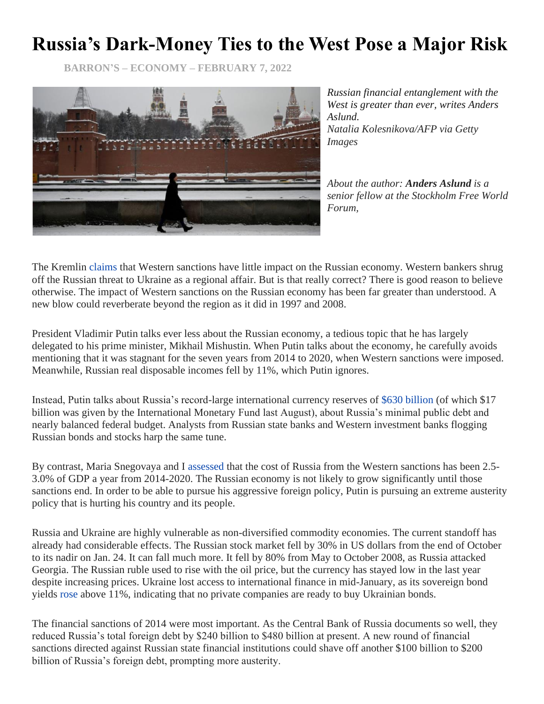## **Russia's Dark-Money Ties to the West Pose a Major Risk**

**BARRON'S – ECONOMY – FEBRUARY 7, 2022**



*Russian financial entanglement with the West is greater than ever, writes Anders Aslund. Natalia Kolesnikova/AFP via Getty Images*

*About the author: Anders Aslund is a senior fellow at the Stockholm Free World Forum,*

The Kremlin [claims](https://www.wsj.com/articles/biden-sanctions-plan-targets-russian-banks-companies-and-imports-if-ukraine-is-attacked-11643387219) that Western sanctions have little impact on the Russian economy. Western bankers shrug off the Russian threat to Ukraine as a regional affair. But is that really correct? There is good reason to believe otherwise. The impact of Western sanctions on the Russian economy has been far greater than understood. A new blow could reverberate beyond the region as it did in 1997 and 2008.

President Vladimir Putin talks ever less about the Russian economy, a tedious topic that he has largely delegated to his prime minister, Mikhail Mishustin. When Putin talks about the economy, he carefully avoids mentioning that it was stagnant for the seven years from 2014 to 2020, when Western sanctions were imposed. Meanwhile, Russian real disposable incomes fell by 11%, which Putin ignores.

Instead, Putin talks about Russia's record-large international currency reserves of [\\$630 billion](https://cbr.ru/eng/hd_base/mrrf/mrrf_m/) (of which \$17 billion was given by the International Monetary Fund last August), about Russia's minimal public debt and nearly balanced federal budget. Analysts from Russian state banks and Western investment banks flogging Russian bonds and stocks harp the same tune.

By contrast, Maria Snegovaya and I [assessed](https://www.atlanticcouncil.org/in-depth-research-reports/report/the-impact-of-western-sanctions-on-russia/) that the cost of Russia from the Western sanctions has been 2.5- 3.0% of GDP a year from 2014-2020. The Russian economy is not likely to grow significantly until those sanctions end. In order to be able to pursue his aggressive foreign policy, Putin is pursuing an extreme austerity policy that is hurting his country and its people.

Russia and Ukraine are highly vulnerable as non-diversified commodity economies. The current standoff has already had considerable effects. The Russian stock market fell by 30% in US dollars from the end of October to its nadir on Jan. 24. It can fall much more. It fell by 80% from May to October 2008, as Russia attacked Georgia. The Russian ruble used to rise with the oil price, but the currency has stayed low in the last year despite increasing prices. Ukraine lost access to international finance in mid-January, as its sovereign bond yields [rose](https://www.wsj.com/articles/ukraine-fails-to-raise-new-debt-as-russian-invasion-looms-11643896509) above 11%, indicating that no private companies are ready to buy Ukrainian bonds.

The financial sanctions of 2014 were most important. As the Central Bank of Russia documents so well, they reduced Russia's total foreign debt by \$240 billion to \$480 billion at present. A new round of financial sanctions directed against Russian state financial institutions could shave off another \$100 billion to \$200 billion of Russia's foreign debt, prompting more austerity.